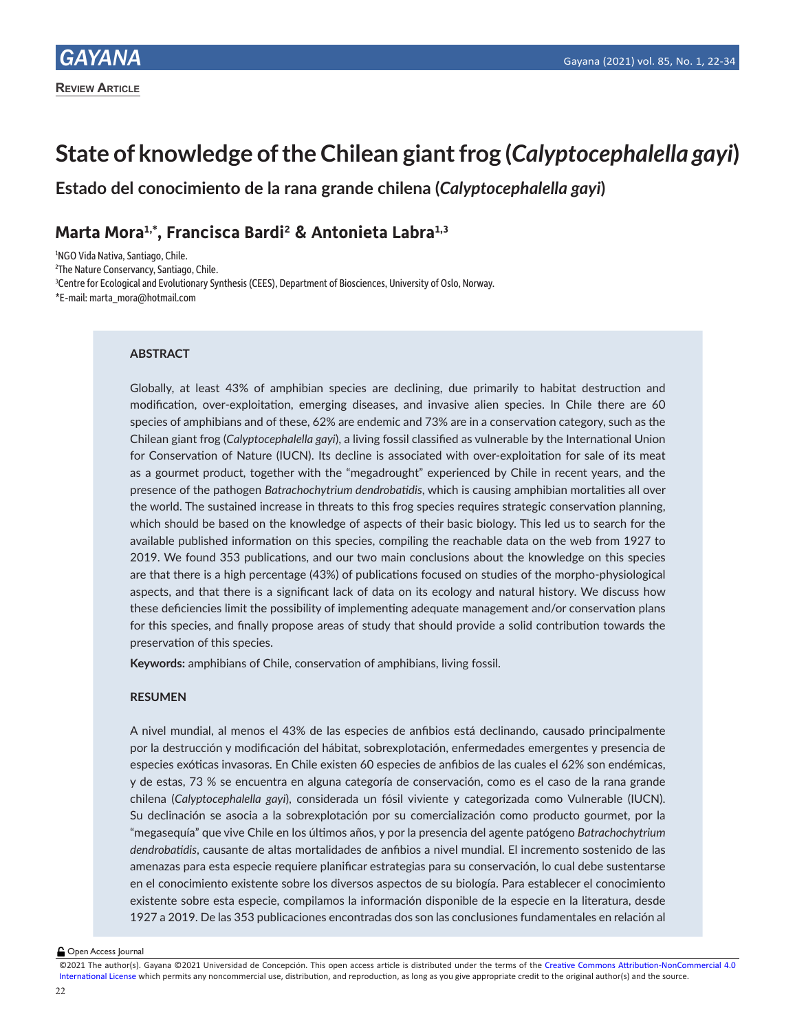# **State of knowledge of the Chilean giant frog (***Calyptocephalella gayi***)**

**Estado del conocimiento de la rana grande chilena (***Calyptocephalella gayi***)**

# **Marta Mora1,\*, Francisca Bardi2 & Antonieta Labra1,3**

1 NGO Vida Nativa, Santiago, Chile.

2 The Nature Conservancy, Santiago, Chile.

3 Centre for Ecological and Evolutionary Synthesis (CEES), Department of Biosciences, University of Oslo, Norway.

\*E-mail: marta\_mora@hotmail.com

# **ABSTRACT**

Globally, at least 43% of amphibian species are declining, due primarily to habitat destruction and modification, over-exploitation, emerging diseases, and invasive alien species. In Chile there are 60 species of amphibians and of these, 62% are endemic and 73% are in a conservation category, such as the Chilean giant frog (*Calyptocephalella gayi*), a living fossil classified as vulnerable by the International Union for Conservation of Nature (IUCN). Its decline is associated with over-exploitation for sale of its meat as a gourmet product, together with the "megadrought" experienced by Chile in recent years, and the presence of the pathogen *Batrachochytrium dendrobatidis*, which is causing amphibian mortalities all over the world. The sustained increase in threats to this frog species requires strategic conservation planning, which should be based on the knowledge of aspects of their basic biology. This led us to search for the available published information on this species, compiling the reachable data on the web from 1927 to 2019. We found 353 publications, and our two main conclusions about the knowledge on this species are that there is a high percentage (43%) of publications focused on studies of the morpho-physiological aspects, and that there is a significant lack of data on its ecology and natural history. We discuss how these deficiencies limit the possibility of implementing adequate management and/or conservation plans for this species, and finally propose areas of study that should provide a solid contribution towards the preservation of this species.

**Keywords:** amphibians of Chile, conservation of amphibians, living fossil.

# **RESUMEN**

A nivel mundial, al menos el 43% de las especies de anfibios está declinando, causado principalmente por la destrucción y modificación del hábitat, sobrexplotación, enfermedades emergentes y presencia de especies exóticas invasoras. En Chile existen 60 especies de anfibios de las cuales el 62% son endémicas, y de estas, 73 % se encuentra en alguna categoría de conservación, como es el caso de la rana grande chilena (*Calyptocephalella gayi*), considerada un fósil viviente y categorizada como Vulnerable (IUCN). Su declinación se asocia a la sobrexplotación por su comercialización como producto gourmet, por la "megasequía" que vive Chile en los últimos años, y por la presencia del agente patógeno *Batrachochytrium dendrobatidis*, causante de altas mortalidades de anfibios a nivel mundial. El incremento sostenido de las amenazas para esta especie requiere planificar estrategias para su conservación, lo cual debe sustentarse en el conocimiento existente sobre los diversos aspectos de su biología. Para establecer el conocimiento existente sobre esta especie, compilamos la información disponible de la especie en la literatura, desde 1927 a 2019. De las 353 publicaciones encontradas dos son las conclusiones fundamentales en relación al

**Open Access Journal** 

©2021 The author(s). Gayana ©2021 Universidad de Concepción. This open access article is distributed under the terms of the Creative Commons Attribution-NonCommercial 4.0 International License which permits any noncommercial use, distribution, and reproduction, as long as you give appropriate credit to the original author(s) and the source.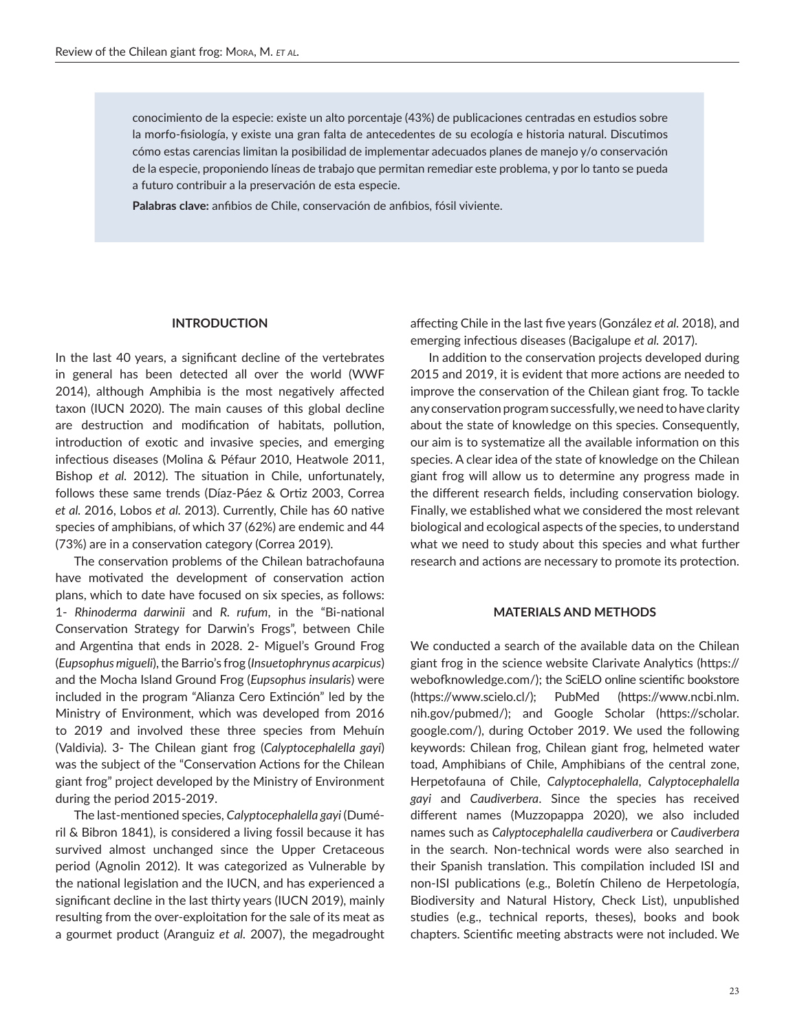conocimiento de la especie: existe un alto porcentaje (43%) de publicaciones centradas en estudios sobre la morfo-fisiología, y existe una gran falta de antecedentes de su ecología e historia natural. Discutimos cómo estas carencias limitan la posibilidad de implementar adecuados planes de manejo y/o conservación de la especie, proponiendo líneas de trabajo que permitan remediar este problema, y por lo tanto se pueda a futuro contribuir a la preservación de esta especie.

**Palabras clave:** anfibios de Chile, conservación de anfibios, fósil viviente.

# **INTRODUCTION**

In the last 40 years, a significant decline of the vertebrates in general has been detected all over the world (WWF 2014), although Amphibia is the most negatively affected taxon (IUCN 2020). The main causes of this global decline are destruction and modification of habitats, pollution, introduction of exotic and invasive species, and emerging infectious diseases (Molina & Péfaur 2010, Heatwole 2011, Bishop *et al.* 2012). The situation in Chile, unfortunately, follows these same trends (Díaz-Páez & Ortiz 2003, Correa *et al.* 2016, Lobos *et al.* 2013). Currently, Chile has 60 native species of amphibians, of which 37 (62%) are endemic and 44 (73%) are in a conservation category (Correa 2019).

The conservation problems of the Chilean batrachofauna have motivated the development of conservation action plans, which to date have focused on six species, as follows: 1- *Rhinoderma darwinii* and *R. rufum*, in the "Bi-national Conservation Strategy for Darwin's Frogs", between Chile and Argentina that ends in 2028. 2- Miguel's Ground Frog (*Eupsophus migueli*), the Barrio's frog (*Insuetophrynus acarpicus*) and the Mocha Island Ground Frog (*Eupsophus insularis*) were included in the program "Alianza Cero Extinción" led by the Ministry of Environment, which was developed from 2016 to 2019 and involved these three species from Mehuín (Valdivia). 3- The Chilean giant frog (*Calyptocephalella gayi*) was the subject of the "Conservation Actions for the Chilean giant frog" project developed by the Ministry of Environment during the period 2015-2019.

The last-mentioned species, *Calyptocephalella gayi* (Duméril & Bibron 1841), is considered a living fossil because it has survived almost unchanged since the Upper Cretaceous period (Agnolin 2012). It was categorized as Vulnerable by the national legislation and the IUCN, and has experienced a significant decline in the last thirty years (IUCN 2019), mainly resulting from the over-exploitation for the sale of its meat as a gourmet product (Aranguiz *et al.* 2007), the megadrought affecting Chile in the last five years (González *et al.* 2018), and emerging infectious diseases (Bacigalupe *et al.* 2017).

In addition to the conservation projects developed during 2015 and 2019, it is evident that more actions are needed to improve the conservation of the Chilean giant frog. To tackle any conservation program successfully, we need to have clarity about the state of knowledge on this species. Consequently, our aim is to systematize all the available information on this species. A clear idea of the state of knowledge on the Chilean giant frog will allow us to determine any progress made in the different research fields, including conservation biology. Finally, we established what we considered the most relevant biological and ecological aspects of the species, to understand what we need to study about this species and what further research and actions are necessary to promote its protection.

## **MATERIALS AND METHODS**

We conducted a search of the available data on the Chilean giant frog in the science website Clarivate Analytics (https:// webofknowledge.com/); the SciELO online scientific bookstore (https://www.scielo.cl/); PubMed (https://www.ncbi.nlm. nih.gov/pubmed/); and Google Scholar (https://scholar. google.com/), during October 2019. We used the following keywords: Chilean frog, Chilean giant frog, helmeted water toad, Amphibians of Chile, Amphibians of the central zone, Herpetofauna of Chile, *Calyptocephalella*, *Calyptocephalella gayi* and *Caudiverbera*. Since the species has received different names (Muzzopappa 2020), we also included names such as *Calyptocephalella caudiverbera* or *Caudiverbera*  in the search. Non-technical words were also searched in their Spanish translation. This compilation included ISI and non-ISI publications (e.g., Boletín Chileno de Herpetología, Biodiversity and Natural History, Check List), unpublished studies (e.g., technical reports, theses), books and book chapters. Scientific meeting abstracts were not included. We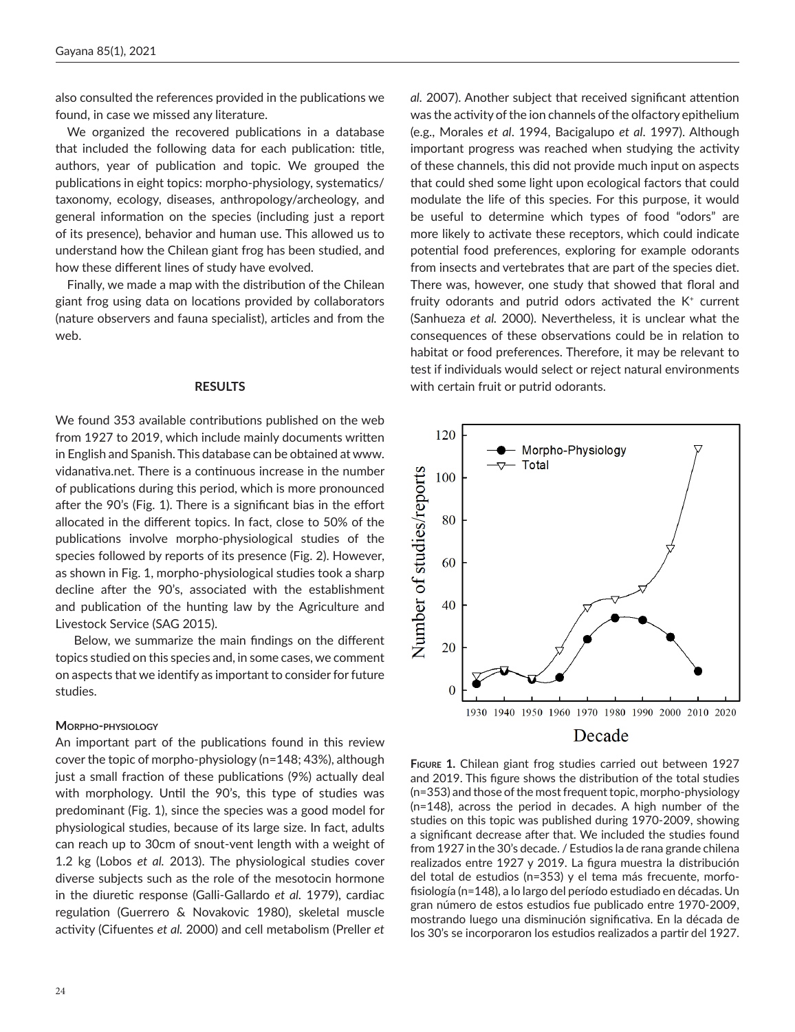also consulted the references provided in the publications we found, in case we missed any literature.

We organized the recovered publications in a database that included the following data for each publication: title, authors, year of publication and topic. We grouped the publications in eight topics: morpho-physiology, systematics/ taxonomy, ecology, diseases, anthropology/archeology, and general information on the species (including just a report of its presence), behavior and human use. This allowed us to understand how the Chilean giant frog has been studied, and how these different lines of study have evolved.

Finally, we made a map with the distribution of the Chilean giant frog using data on locations provided by collaborators (nature observers and fauna specialist), articles and from the web.

#### **RESULTS**

We found 353 available contributions published on the web from 1927 to 2019, which include mainly documents written in English and Spanish. This database can be obtained at www. vidanativa.net. There is a continuous increase in the number of publications during this period, which is more pronounced after the 90's (Fig. 1). There is a significant bias in the effort allocated in the different topics. In fact, close to 50% of the publications involve morpho-physiological studies of the species followed by reports of its presence (Fig. 2). However, as shown in Fig. 1, morpho-physiological studies took a sharp decline after the 90's, associated with the establishment and publication of the hunting law by the Agriculture and Livestock Service (SAG 2015).

Below, we summarize the main findings on the different topics studied on this species and, in some cases, we comment on aspects that we identify as important to consider for future studies.

#### **Morpho-physiology**

An important part of the publications found in this review cover the topic of morpho-physiology (n=148; 43%), although just a small fraction of these publications (9%) actually deal with morphology. Until the 90's, this type of studies was predominant (Fig. 1), since the species was a good model for physiological studies, because of its large size. In fact, adults can reach up to 30cm of snout-vent length with a weight of 1.2 kg (Lobos *et al.* 2013). The physiological studies cover diverse subjects such as the role of the mesotocin hormone in the diuretic response (Galli-Gallardo *et al.* 1979), cardiac regulation (Guerrero & Novakovic 1980), skeletal muscle activity (Cifuentes *et al.* 2000) and cell metabolism (Preller *et* 

*al.* 2007). Another subject that received significant attention was the activity of the ion channels of the olfactory epithelium (e.g., Morales *et al*. 1994, Bacigalupo *et al*. 1997). Although important progress was reached when studying the activity of these channels, this did not provide much input on aspects that could shed some light upon ecological factors that could modulate the life of this species. For this purpose, it would be useful to determine which types of food "odors" are more likely to activate these receptors, which could indicate potential food preferences, exploring for example odorants from insects and vertebrates that are part of the species diet. There was, however, one study that showed that floral and fruity odorants and putrid odors activated the K<sup>+</sup> current (Sanhueza *et al.* 2000). Nevertheless, it is unclear what the consequences of these observations could be in relation to habitat or food preferences. Therefore, it may be relevant to test if individuals would select or reject natural environments with certain fruit or putrid odorants.



**Figure 1.** Chilean giant frog studies carried out between 1927 and 2019. This figure shows the distribution of the total studies (n=353) and those of the most frequent topic, morpho-physiology (n=148), across the period in decades. A high number of the studies on this topic was published during 1970-2009, showing a significant decrease after that. We included the studies found from 1927 in the 30's decade. / Estudios la de rana grande chilena realizados entre 1927 y 2019. La figura muestra la distribución del total de estudios (n=353) y el tema más frecuente, morfofisiología (n=148), a lo largo del período estudiado en décadas. Un gran número de estos estudios fue publicado entre 1970-2009, mostrando luego una disminución significativa. En la década de los 30's se incorporaron los estudios realizados a partir del 1927.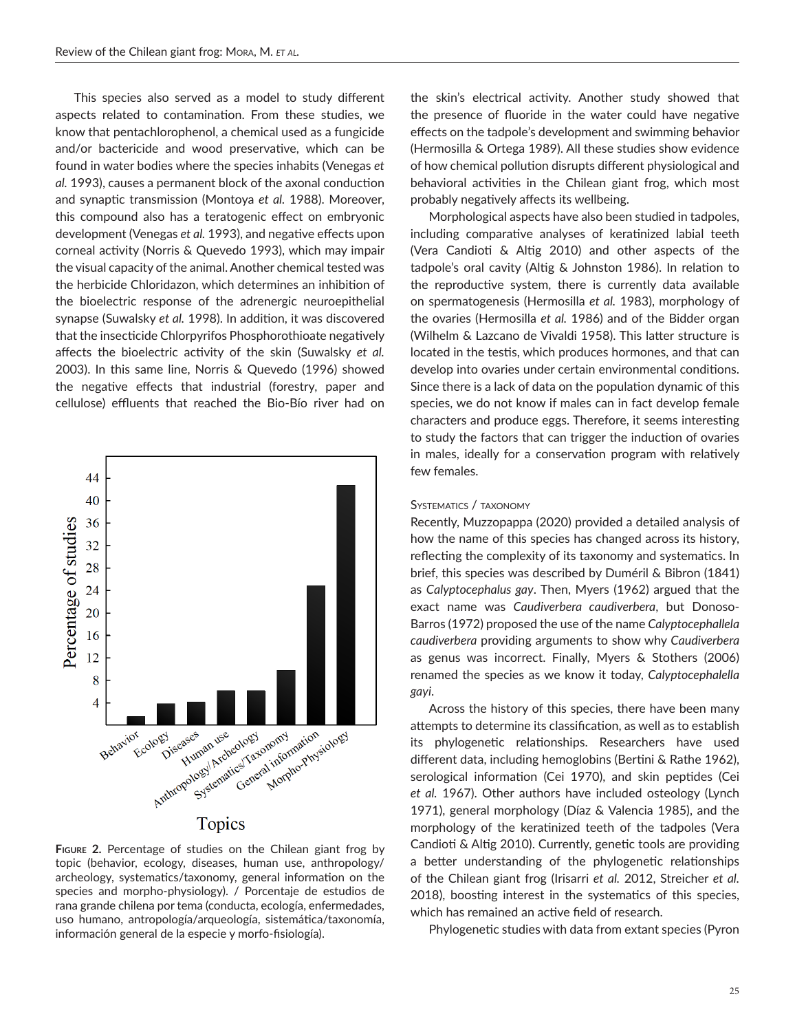This species also served as a model to study different aspects related to contamination. From these studies, we know that pentachlorophenol, a chemical used as a fungicide and/or bactericide and wood preservative, which can be found in water bodies where the species inhabits (Venegas *et al.* 1993), causes a permanent block of the axonal conduction and synaptic transmission (Montoya *et al.* 1988). Moreover, this compound also has a teratogenic effect on embryonic development (Venegas *et al.* 1993), and negative effects upon corneal activity (Norris & Quevedo 1993), which may impair the visual capacity of the animal. Another chemical tested was the herbicide Chloridazon, which determines an inhibition of the bioelectric response of the adrenergic neuroepithelial synapse (Suwalsky *et al.* 1998). In addition, it was discovered that the insecticide Chlorpyrifos Phosphorothioate negatively affects the bioelectric activity of the skin (Suwalsky *et al.* 2003). In this same line, Norris & Quevedo (1996) showed the negative effects that industrial (forestry, paper and cellulose) effluents that reached the Bio-Bío river had on



**Figure 2.** Percentage of studies on the Chilean giant frog by topic (behavior, ecology, diseases, human use, anthropology/ archeology, systematics/taxonomy, general information on the species and morpho-physiology). / Porcentaje de estudios de rana grande chilena por tema (conducta, ecología, enfermedades, uso humano, antropología/arqueología, sistemática/taxonomía, información general de la especie y morfo-fisiología).

the skin's electrical activity. Another study showed that the presence of fluoride in the water could have negative effects on the tadpole's development and swimming behavior (Hermosilla & Ortega 1989). All these studies show evidence of how chemical pollution disrupts different physiological and behavioral activities in the Chilean giant frog, which most probably negatively affects its wellbeing.

Morphological aspects have also been studied in tadpoles, including comparative analyses of keratinized labial teeth (Vera Candioti & Altig 2010) and other aspects of the tadpole's oral cavity (Altig & Johnston 1986). In relation to the reproductive system, there is currently data available on spermatogenesis (Hermosilla *et al.* 1983), morphology of the ovaries (Hermosilla *et al.* 1986) and of the Bidder organ (Wilhelm & Lazcano de Vivaldi 1958). This latter structure is located in the testis, which produces hormones, and that can develop into ovaries under certain environmental conditions. Since there is a lack of data on the population dynamic of this species, we do not know if males can in fact develop female characters and produce eggs. Therefore, it seems interesting to study the factors that can trigger the induction of ovaries in males, ideally for a conservation program with relatively few females.

## Systematics / taxonomy

Recently, Muzzopappa (2020) provided a detailed analysis of how the name of this species has changed across its history, reflecting the complexity of its taxonomy and systematics. In brief, this species was described by Duméril & Bibron (1841) as *Calyptocephalus gay*. Then, Myers (1962) argued that the exact name was *Caudiverbera caudiverbera*, but Donoso-Barros (1972) proposed the use of the name *Calyptocephallela caudiverbera* providing arguments to show why *Caudiverbera* as genus was incorrect. Finally, Myers & Stothers (2006) renamed the species as we know it today, *Calyptocephalella gayi*.

Across the history of this species, there have been many attempts to determine its classification, as well as to establish its phylogenetic relationships. Researchers have used different data, including hemoglobins (Bertini & Rathe 1962), serological information (Cei 1970), and skin peptides (Cei *et al.* 1967). Other authors have included osteology (Lynch 1971), general morphology (Díaz & Valencia 1985), and the morphology of the keratinized teeth of the tadpoles (Vera Candioti & Altig 2010). Currently, genetic tools are providing a better understanding of the phylogenetic relationships of the Chilean giant frog (Irisarri *et al.* 2012, Streicher *et al.* 2018), boosting interest in the systematics of this species, which has remained an active field of research.

Phylogenetic studies with data from extant species (Pyron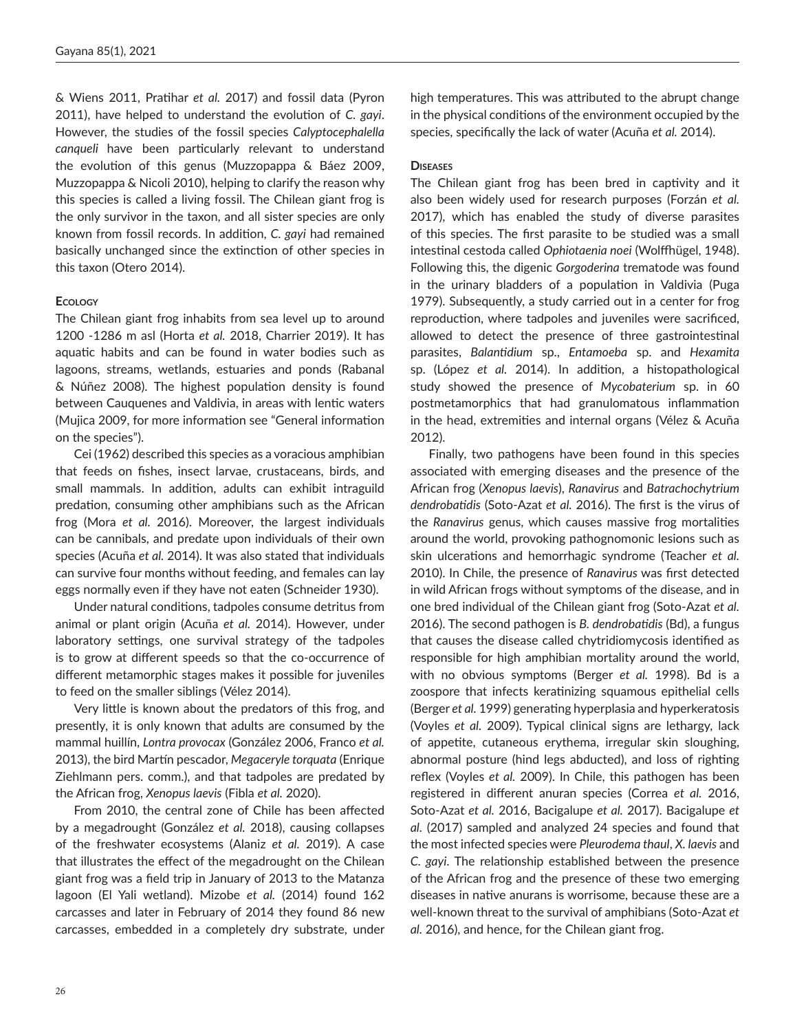& Wiens 2011, Pratihar *et al.* 2017) and fossil data (Pyron 2011), have helped to understand the evolution of *C. gayi*. However, the studies of the fossil species *Calyptocephalella canqueli* have been particularly relevant to understand the evolution of this genus (Muzzopappa & Báez 2009, Muzzopappa & Nicoli 2010), helping to clarify the reason why this species is called a living fossil. The Chilean giant frog is the only survivor in the taxon, and all sister species are only known from fossil records. In addition, *C. gayi* had remained basically unchanged since the extinction of other species in this taxon (Otero 2014).

# **Ecology**

The Chilean giant frog inhabits from sea level up to around 1200 -1286 m asl (Horta *et al.* 2018, Charrier 2019). It has aquatic habits and can be found in water bodies such as lagoons, streams, wetlands, estuaries and ponds (Rabanal & Núñez 2008). The highest population density is found between Cauquenes and Valdivia, in areas with lentic waters (Mujica 2009, for more information see "General information on the species").

Cei (1962) described this species as a voracious amphibian that feeds on fishes, insect larvae, crustaceans, birds, and small mammals. In addition, adults can exhibit intraguild predation, consuming other amphibians such as the African frog (Mora *et al.* 2016). Moreover, the largest individuals can be cannibals, and predate upon individuals of their own species (Acuña *et al.* 2014). It was also stated that individuals can survive four months without feeding, and females can lay eggs normally even if they have not eaten (Schneider 1930).

Under natural conditions, tadpoles consume detritus from animal or plant origin (Acuña *et al.* 2014). However, under laboratory settings, one survival strategy of the tadpoles is to grow at different speeds so that the co-occurrence of different metamorphic stages makes it possible for juveniles to feed on the smaller siblings (Vélez 2014).

Very little is known about the predators of this frog, and presently, it is only known that adults are consumed by the mammal huillín, *Lontra provocax* (González 2006, Franco *et al.* 2013), the bird Martín pescador, *Megaceryle torquata* (Enrique Ziehlmann pers. comm.), and that tadpoles are predated by the African frog, *Xenopus laevis* (Fibla *et al.* 2020).

From 2010, the central zone of Chile has been affected by a megadrought (González *et al.* 2018), causing collapses of the freshwater ecosystems (Alaniz *et al.* 2019). A case that illustrates the effect of the megadrought on the Chilean giant frog was a field trip in January of 2013 to the Matanza lagoon (El Yali wetland). Mizobe *et al.* (2014) found 162 carcasses and later in February of 2014 they found 86 new carcasses, embedded in a completely dry substrate, under

high temperatures. This was attributed to the abrupt change in the physical conditions of the environment occupied by the species, specifically the lack of water (Acuña *et al.* 2014).

# **Diseases**

The Chilean giant frog has been bred in captivity and it also been widely used for research purposes (Forzán *et al.* 2017), which has enabled the study of diverse parasites of this species. The first parasite to be studied was a small intestinal cestoda called *Ophiotaenia noei* (Wolffhügel, 1948). Following this, the digenic *Gorgoderina* trematode was found in the urinary bladders of a population in Valdivia (Puga 1979). Subsequently, a study carried out in a center for frog reproduction, where tadpoles and juveniles were sacrificed, allowed to detect the presence of three gastrointestinal parasites, *Balantidium* sp., *Entamoeba* sp. and *Hexamita* sp. (López *et al.* 2014). In addition, a histopathological study showed the presence of *Mycobaterium* sp. in 60 postmetamorphics that had granulomatous inflammation in the head, extremities and internal organs (Vélez & Acuña 2012).

Finally, two pathogens have been found in this species associated with emerging diseases and the presence of the African frog (*Xenopus laevis*), *Ranavirus* and *Batrachochytrium dendrobatidis* (Soto-Azat *et al.* 2016). The first is the virus of the *Ranavirus* genus, which causes massive frog mortalities around the world, provoking pathognomonic lesions such as skin ulcerations and hemorrhagic syndrome (Teacher *et al.* 2010). In Chile, the presence of *Ranavirus* was first detected in wild African frogs without symptoms of the disease, and in one bred individual of the Chilean giant frog (Soto-Azat *et al.* 2016). The second pathogen is *B. dendrobatidis* (Bd), a fungus that causes the disease called chytridiomycosis identified as responsible for high amphibian mortality around the world, with no obvious symptoms (Berger *et al.* 1998). Bd is a zoospore that infects keratinizing squamous epithelial cells (Berger *et al.* 1999) generating hyperplasia and hyperkeratosis (Voyles *et al.* 2009). Typical clinical signs are lethargy, lack of appetite, cutaneous erythema, irregular skin sloughing, abnormal posture (hind legs abducted), and loss of righting reflex (Voyles *et al.* 2009). In Chile, this pathogen has been registered in different anuran species (Correa *et al.* 2016, Soto-Azat *et al.* 2016, Bacigalupe *et al.* 2017). Bacigalupe *et al.* (2017) sampled and analyzed 24 species and found that the most infected species were *Pleurodema thaul*, *X. laevis* and *C. gayi*. The relationship established between the presence of the African frog and the presence of these two emerging diseases in native anurans is worrisome, because these are a well-known threat to the survival of amphibians (Soto-Azat *et al.* 2016), and hence, for the Chilean giant frog.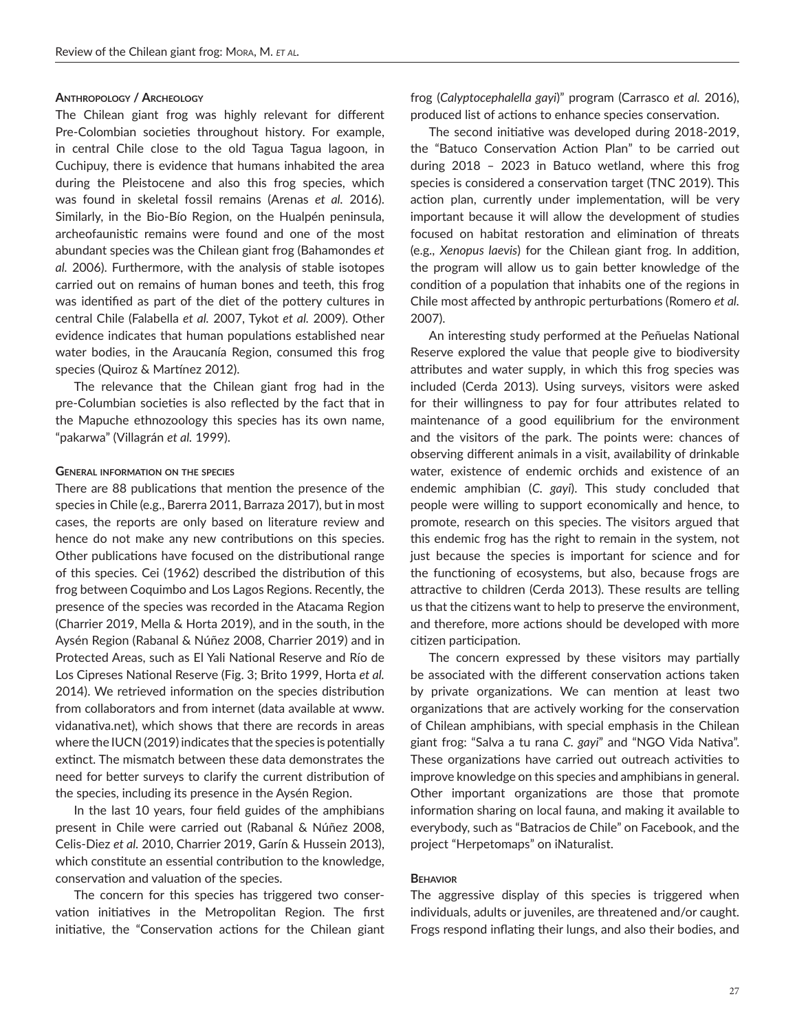# **Anthropology / Archeology**

The Chilean giant frog was highly relevant for different Pre-Colombian societies throughout history. For example, in central Chile close to the old Tagua Tagua lagoon, in Cuchipuy, there is evidence that humans inhabited the area during the Pleistocene and also this frog species, which was found in skeletal fossil remains (Arenas *et al.* 2016). Similarly, in the Bio-Bío Region, on the Hualpén peninsula, archeofaunistic remains were found and one of the most abundant species was the Chilean giant frog (Bahamondes *et al.* 2006). Furthermore, with the analysis of stable isotopes carried out on remains of human bones and teeth, this frog was identified as part of the diet of the pottery cultures in central Chile (Falabella *et al.* 2007, Tykot *et al.* 2009). Other evidence indicates that human populations established near water bodies, in the Araucanía Region, consumed this frog species (Quiroz & Martínez 2012).

The relevance that the Chilean giant frog had in the pre-Columbian societies is also reflected by the fact that in the Mapuche ethnozoology this species has its own name, "pakarwa" (Villagrán *et al.* 1999).

#### **General information on the species**

There are 88 publications that mention the presence of the species in Chile (e.g., Barerra 2011, Barraza 2017), but in most cases, the reports are only based on literature review and hence do not make any new contributions on this species. Other publications have focused on the distributional range of this species. Cei (1962) described the distribution of this frog between Coquimbo and Los Lagos Regions. Recently, the presence of the species was recorded in the Atacama Region (Charrier 2019, Mella & Horta 2019), and in the south, in the Aysén Region (Rabanal & Núñez 2008, Charrier 2019) and in Protected Areas, such as El Yali National Reserve and Río de Los Cipreses National Reserve (Fig. 3; Brito 1999, Horta *et al.* 2014). We retrieved information on the species distribution from collaborators and from internet (data available at www. vidanativa.net), which shows that there are records in areas where the IUCN (2019) indicates that the species is potentially extinct. The mismatch between these data demonstrates the need for better surveys to clarify the current distribution of the species, including its presence in the Aysén Region.

In the last 10 years, four field guides of the amphibians present in Chile were carried out (Rabanal & Núñez 2008, Celis-Diez *et al.* 2010, Charrier 2019, Garín & Hussein 2013), which constitute an essential contribution to the knowledge, conservation and valuation of the species.

The concern for this species has triggered two conservation initiatives in the Metropolitan Region. The first initiative, the "Conservation actions for the Chilean giant

frog (*Calyptocephalella gayi*)" program (Carrasco *et al.* 2016), produced list of actions to enhance species conservation.

The second initiative was developed during 2018-2019, the "Batuco Conservation Action Plan" to be carried out during 2018 – 2023 in Batuco wetland, where this frog species is considered a conservation target (TNC 2019). This action plan, currently under implementation, will be very important because it will allow the development of studies focused on habitat restoration and elimination of threats (e.g., *Xenopus laevis*) for the Chilean giant frog. In addition, the program will allow us to gain better knowledge of the condition of a population that inhabits one of the regions in Chile most affected by anthropic perturbations (Romero *et al.* 2007).

An interesting study performed at the Peñuelas National Reserve explored the value that people give to biodiversity attributes and water supply, in which this frog species was included (Cerda 2013). Using surveys, visitors were asked for their willingness to pay for four attributes related to maintenance of a good equilibrium for the environment and the visitors of the park. The points were: chances of observing different animals in a visit, availability of drinkable water, existence of endemic orchids and existence of an endemic amphibian (*C. gayi*). This study concluded that people were willing to support economically and hence, to promote, research on this species. The visitors argued that this endemic frog has the right to remain in the system, not just because the species is important for science and for the functioning of ecosystems, but also, because frogs are attractive to children (Cerda 2013). These results are telling us that the citizens want to help to preserve the environment, and therefore, more actions should be developed with more citizen participation.

The concern expressed by these visitors may partially be associated with the different conservation actions taken by private organizations. We can mention at least two organizations that are actively working for the conservation of Chilean amphibians, with special emphasis in the Chilean giant frog: "Salva a tu rana *C. gayi*" and "NGO Vida Nativa". These organizations have carried out outreach activities to improve knowledge on this species and amphibians in general. Other important organizations are those that promote information sharing on local fauna, and making it available to everybody, such as "Batracios de Chile" on Facebook, and the project "Herpetomaps" on iNaturalist.

## **Behavior**

The aggressive display of this species is triggered when individuals, adults or juveniles, are threatened and/or caught. Frogs respond inflating their lungs, and also their bodies, and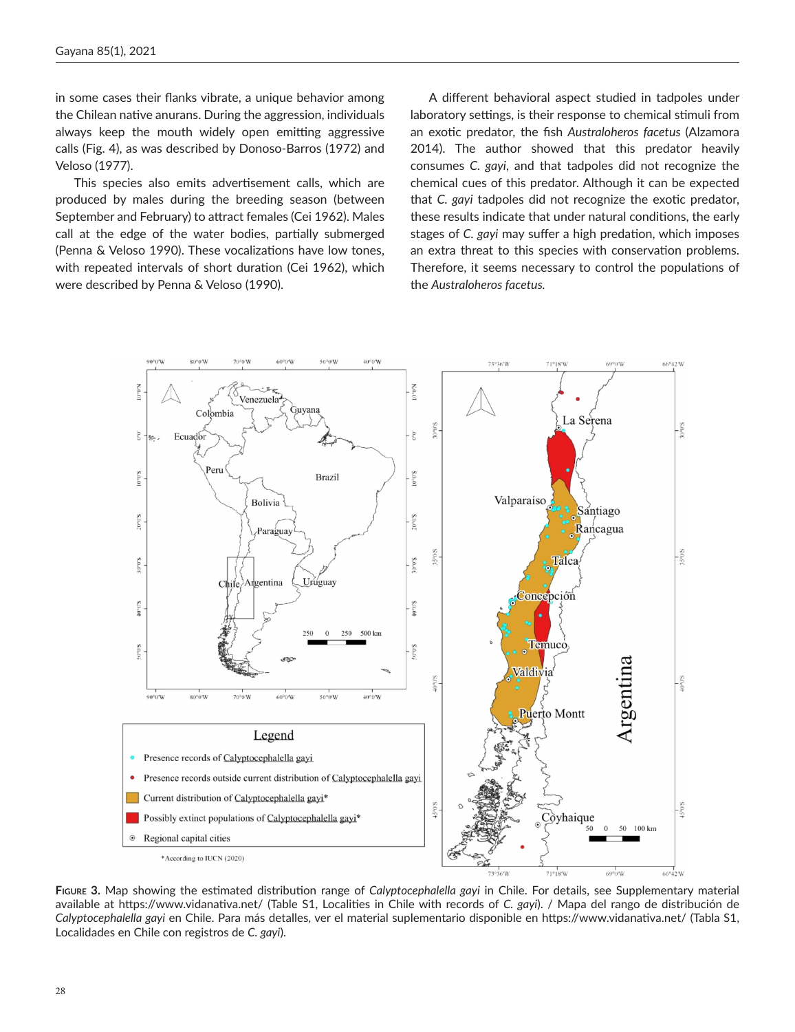in some cases their flanks vibrate, a unique behavior among the Chilean native anurans. During the aggression, individuals always keep the mouth widely open emitting aggressive calls (Fig. 4), as was described by Donoso-Barros (1972) and Veloso (1977).

This species also emits advertisement calls, which are produced by males during the breeding season (between September and February) to attract females (Cei 1962). Males call at the edge of the water bodies, partially submerged (Penna & Veloso 1990). These vocalizations have low tones, with repeated intervals of short duration (Cei 1962), which were described by Penna & Veloso (1990).

A different behavioral aspect studied in tadpoles under laboratory settings, is their response to chemical stimuli from an exotic predator, the fish *Australoheros facetus* (Alzamora 2014). The author showed that this predator heavily consumes *C. gayi*, and that tadpoles did not recognize the chemical cues of this predator. Although it can be expected that *C. gayi* tadpoles did not recognize the exotic predator, these results indicate that under natural conditions, the early stages of *C. gayi* may suffer a high predation, which imposes an extra threat to this species with conservation problems. Therefore, it seems necessary to control the populations of the *Australoheros facetus.*



**Figure 3.** Map showing the estimated distribution range of *Calyptocephalella gayi* in Chile. For details, see Supplementary material available at https://www.vidanativa.net/ (Table S1, Localities in Chile with records of *C. gayi*). / Mapa del rango de distribución de *Calyptocephalella gayi* en Chile. Para más detalles, ver el material suplementario disponible en https://www.vidanativa.net/ (Tabla S1, Localidades en Chile con registros de *C. gayi*).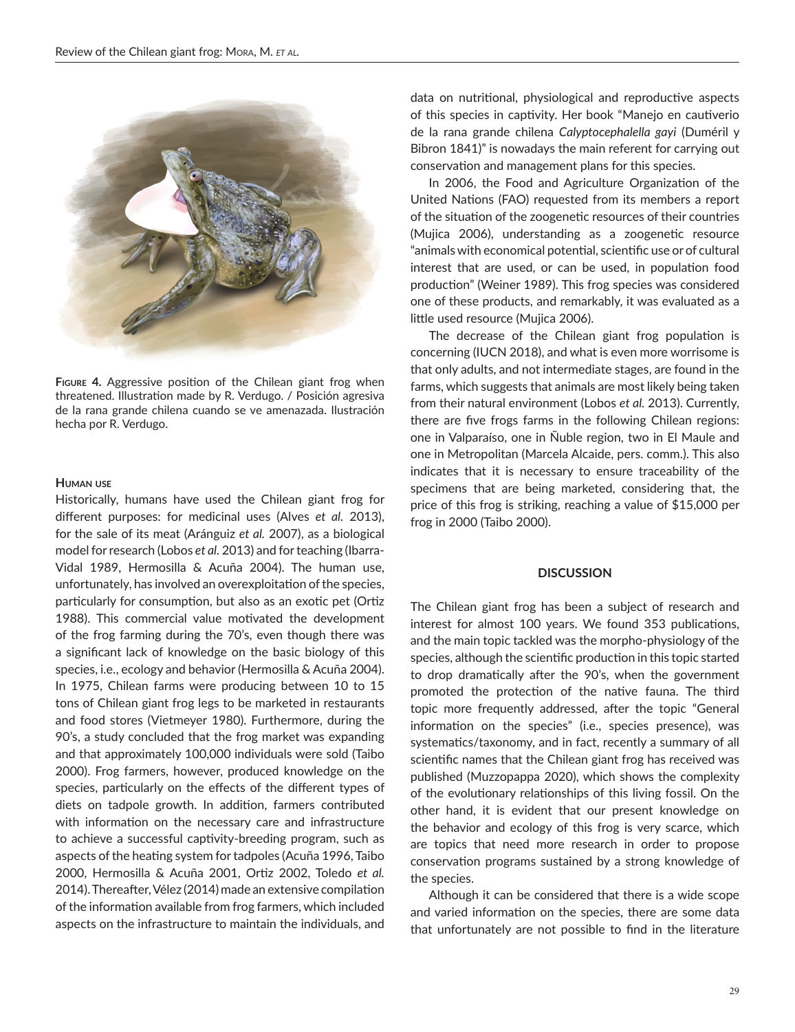

**Figure 4.** Aggressive position of the Chilean giant frog when threatened. Illustration made by R. Verdugo. / Posición agresiva de la rana grande chilena cuando se ve amenazada. Ilustración hecha por R. Verdugo.

# **Human use**

Historically, humans have used the Chilean giant frog for different purposes: for medicinal uses (Alves *et al.* 2013), for the sale of its meat (Aránguiz *et al.* 2007), as a biological model for research (Lobos *et al.* 2013) and for teaching (Ibarra-Vidal 1989, Hermosilla & Acuña 2004). The human use, unfortunately, has involved an overexploitation of the species, particularly for consumption, but also as an exotic pet (Ortiz 1988). This commercial value motivated the development of the frog farming during the 70's, even though there was a significant lack of knowledge on the basic biology of this species, i.e., ecology and behavior (Hermosilla & Acuña 2004). In 1975, Chilean farms were producing between 10 to 15 tons of Chilean giant frog legs to be marketed in restaurants and food stores (Vietmeyer 1980). Furthermore, during the 90's, a study concluded that the frog market was expanding and that approximately 100,000 individuals were sold (Taibo 2000). Frog farmers, however, produced knowledge on the species, particularly on the effects of the different types of diets on tadpole growth. In addition, farmers contributed with information on the necessary care and infrastructure to achieve a successful captivity-breeding program, such as aspects of the heating system for tadpoles (Acuña 1996, Taibo 2000, Hermosilla & Acuña 2001, Ortiz 2002, Toledo *et al.* 2014). Thereafter, Vélez (2014) made an extensive compilation of the information available from frog farmers, which included aspects on the infrastructure to maintain the individuals, and

data on nutritional, physiological and reproductive aspects of this species in captivity. Her book "Manejo en cautiverio de la rana grande chilena *Calyptocephalella gayi* (Duméril y Bibron 1841)" is nowadays the main referent for carrying out conservation and management plans for this species.

In 2006, the Food and Agriculture Organization of the United Nations (FAO) requested from its members a report of the situation of the zoogenetic resources of their countries (Mujica 2006), understanding as a zoogenetic resource "animals with economical potential, scientific use or of cultural interest that are used, or can be used, in population food production" (Weiner 1989). This frog species was considered one of these products, and remarkably, it was evaluated as a little used resource (Mujica 2006).

The decrease of the Chilean giant frog population is concerning (IUCN 2018), and what is even more worrisome is that only adults, and not intermediate stages, are found in the farms, which suggests that animals are most likely being taken from their natural environment (Lobos *et al.* 2013). Currently, there are five frogs farms in the following Chilean regions: one in Valparaíso, one in Ñuble region, two in El Maule and one in Metropolitan (Marcela Alcaide, pers. comm.). This also indicates that it is necessary to ensure traceability of the specimens that are being marketed, considering that, the price of this frog is striking, reaching a value of \$15,000 per frog in 2000 (Taibo 2000).

# **DISCUSSION**

The Chilean giant frog has been a subject of research and interest for almost 100 years. We found 353 publications, and the main topic tackled was the morpho-physiology of the species, although the scientific production in this topic started to drop dramatically after the 90's, when the government promoted the protection of the native fauna. The third topic more frequently addressed, after the topic "General information on the species" (i.e., species presence), was systematics/taxonomy, and in fact, recently a summary of all scientific names that the Chilean giant frog has received was published (Muzzopappa 2020), which shows the complexity of the evolutionary relationships of this living fossil. On the other hand, it is evident that our present knowledge on the behavior and ecology of this frog is very scarce, which are topics that need more research in order to propose conservation programs sustained by a strong knowledge of the species.

Although it can be considered that there is a wide scope and varied information on the species, there are some data that unfortunately are not possible to find in the literature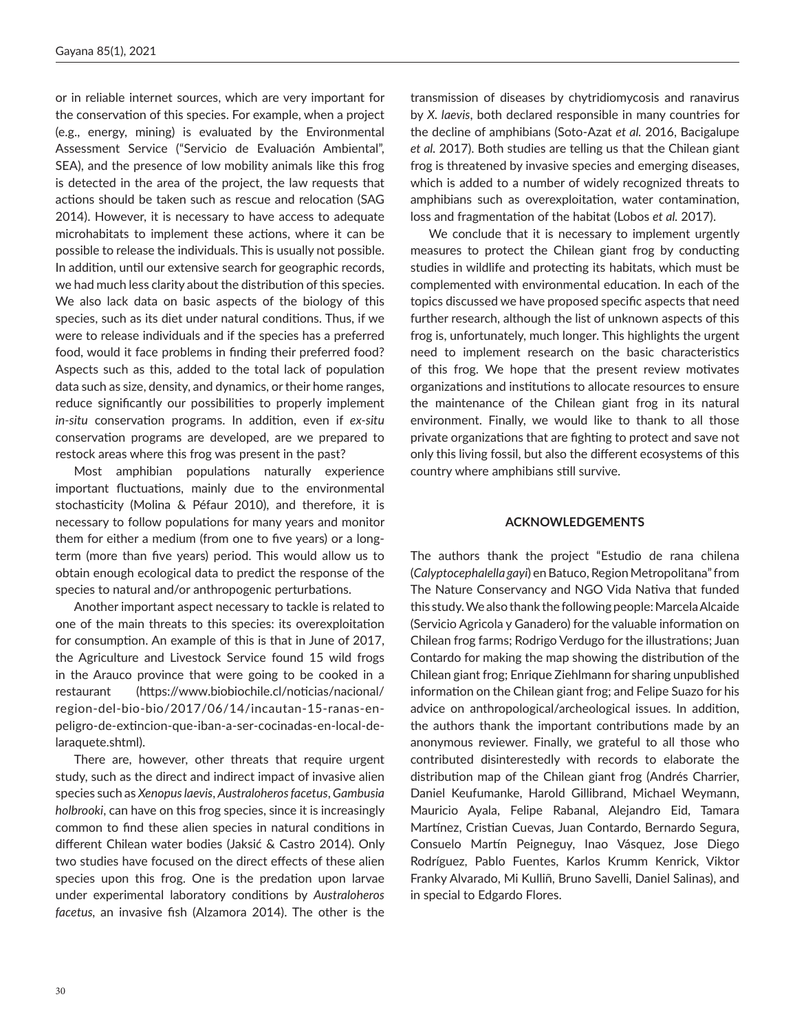or in reliable internet sources, which are very important for the conservation of this species. For example, when a project (e.g., energy, mining) is evaluated by the Environmental Assessment Service ("Servicio de Evaluación Ambiental", SEA), and the presence of low mobility animals like this frog is detected in the area of the project, the law requests that actions should be taken such as rescue and relocation (SAG 2014). However, it is necessary to have access to adequate microhabitats to implement these actions, where it can be possible to release the individuals. This is usually not possible. In addition, until our extensive search for geographic records, we had much less clarity about the distribution of this species. We also lack data on basic aspects of the biology of this species, such as its diet under natural conditions. Thus, if we were to release individuals and if the species has a preferred food, would it face problems in finding their preferred food? Aspects such as this, added to the total lack of population data such as size, density, and dynamics, or their home ranges, reduce significantly our possibilities to properly implement *in-situ* conservation programs. In addition, even if *ex-situ* conservation programs are developed, are we prepared to restock areas where this frog was present in the past?

Most amphibian populations naturally experience important fluctuations, mainly due to the environmental stochasticity (Molina & Péfaur 2010), and therefore, it is necessary to follow populations for many years and monitor them for either a medium (from one to five years) or a longterm (more than five years) period. This would allow us to obtain enough ecological data to predict the response of the species to natural and/or anthropogenic perturbations.

Another important aspect necessary to tackle is related to one of the main threats to this species: its overexploitation for consumption. An example of this is that in June of 2017, the Agriculture and Livestock Service found 15 wild frogs in the Arauco province that were going to be cooked in a restaurant (https://www.biobiochile.cl/noticias/nacional/ region-del-bio-bio/2017/06/14/incautan-15-ranas-enpeligro-de-extincion-que-iban-a-ser-cocinadas-en-local-delaraquete.shtml).

There are, however, other threats that require urgent study, such as the direct and indirect impact of invasive alien species such as *Xenopus laevis*, *Australoheros facetus*, *Gambusia holbrooki*, can have on this frog species, since it is increasingly common to find these alien species in natural conditions in different Chilean water bodies (Jaksić & Castro 2014). Only two studies have focused on the direct effects of these alien species upon this frog. One is the predation upon larvae under experimental laboratory conditions by *Australoheros facetus,* an invasive fish (Alzamora 2014). The other is the

transmission of diseases by chytridiomycosis and ranavirus by *X. laevis*, both declared responsible in many countries for the decline of amphibians (Soto-Azat *et al.* 2016, Bacigalupe *et al.* 2017). Both studies are telling us that the Chilean giant frog is threatened by invasive species and emerging diseases, which is added to a number of widely recognized threats to amphibians such as overexploitation, water contamination, loss and fragmentation of the habitat (Lobos *et al.* 2017).

We conclude that it is necessary to implement urgently measures to protect the Chilean giant frog by conducting studies in wildlife and protecting its habitats, which must be complemented with environmental education. In each of the topics discussed we have proposed specific aspects that need further research, although the list of unknown aspects of this frog is, unfortunately, much longer. This highlights the urgent need to implement research on the basic characteristics of this frog. We hope that the present review motivates organizations and institutions to allocate resources to ensure the maintenance of the Chilean giant frog in its natural environment. Finally, we would like to thank to all those private organizations that are fighting to protect and save not only this living fossil, but also the different ecosystems of this country where amphibians still survive.

# **ACKNOWLEDGEMENTS**

The authors thank the project "Estudio de rana chilena (*Calyptocephalella gayi*) en Batuco, Region Metropolitana" from The Nature Conservancy and NGO Vida Nativa that funded this study. We also thank the following people: Marcela Alcaide (Servicio Agricola y Ganadero) for the valuable information on Chilean frog farms; Rodrigo Verdugo for the illustrations; Juan Contardo for making the map showing the distribution of the Chilean giant frog; Enrique Ziehlmann for sharing unpublished information on the Chilean giant frog; and Felipe Suazo for his advice on anthropological/archeological issues. In addition, the authors thank the important contributions made by an anonymous reviewer. Finally, we grateful to all those who contributed disinterestedly with records to elaborate the distribution map of the Chilean giant frog (Andrés Charrier, Daniel Keufumanke, Harold Gillibrand, Michael Weymann, Mauricio Ayala, Felipe Rabanal, Alejandro Eid, Tamara Martínez, Cristian Cuevas, Juan Contardo, Bernardo Segura, Consuelo Martín Peigneguy, Inao Vásquez, Jose Diego Rodríguez, Pablo Fuentes, Karlos Krumm Kenrick, Viktor Franky Alvarado, Mi Kulliñ, Bruno Savelli, Daniel Salinas), and in special to Edgardo Flores.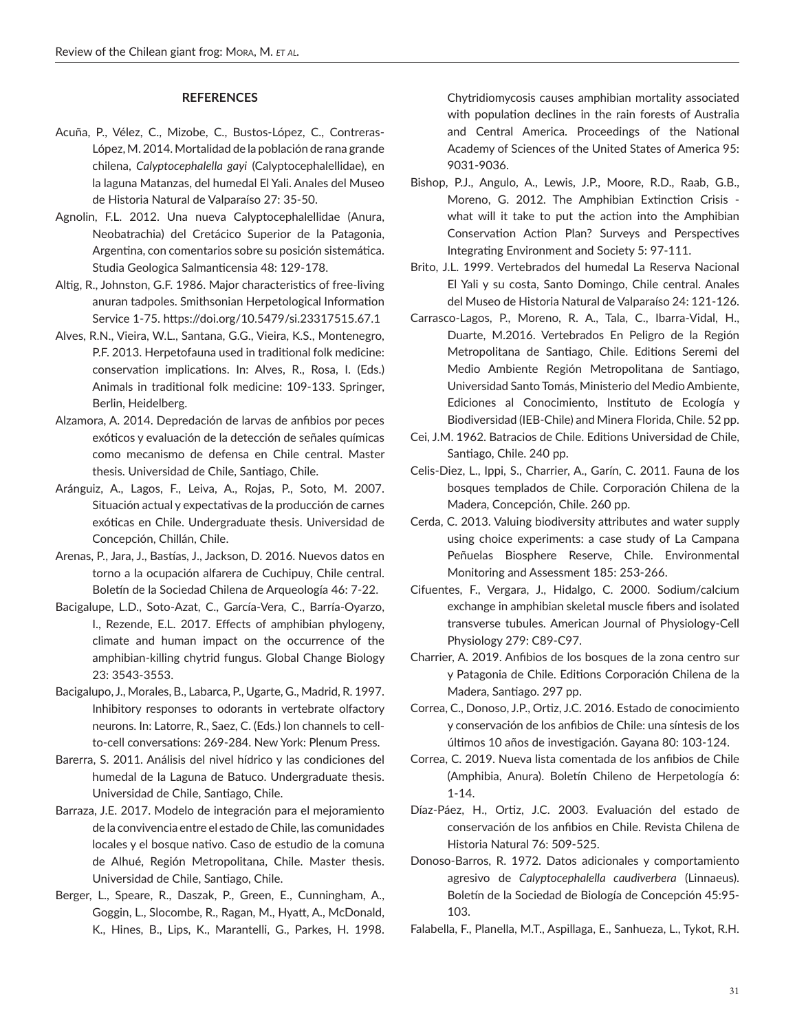# **REFERENCES**

- Acuña, P., Vélez, C., Mizobe, C., Bustos-López, C., Contreras-López, M. 2014. Mortalidad de la población de rana grande chilena, *Calyptocephalella gayi* (Calyptocephalellidae), en la laguna Matanzas, del humedal El Yali. Anales del Museo de Historia Natural de Valparaíso 27: 35-50.
- Agnolin, F.L. 2012. Una nueva Calyptocephalellidae (Anura, Neobatrachia) del Cretácico Superior de la Patagonia, Argentina, con comentarios sobre su posición sistemática. Studia Geologica Salmanticensia 48: 129-178.
- Altig, R., Johnston, G.F. 1986. Major characteristics of free-living anuran tadpoles. Smithsonian Herpetological Information Service 1-75. https://doi.org/10.5479/si.23317515.67.1
- Alves, R.N., Vieira, W.L., Santana, G.G., Vieira, K.S., Montenegro, P.F. 2013. Herpetofauna used in traditional folk medicine: conservation implications. In: Alves, R., Rosa, I. (Eds.) Animals in traditional folk medicine: 109-133. Springer, Berlin, Heidelberg.
- Alzamora, A. 2014. Depredación de larvas de anfibios por peces exóticos y evaluación de la detección de señales químicas como mecanismo de defensa en Chile central. Master thesis. Universidad de Chile, Santiago, Chile.
- Aránguiz, A., Lagos, F., Leiva, A., Rojas, P., Soto, M. 2007. Situación actual y expectativas de la producción de carnes exóticas en Chile. Undergraduate thesis. Universidad de Concepción, Chillán, Chile.
- Arenas, P., Jara, J., Bastías, J., Jackson, D. 2016. Nuevos datos en torno a la ocupación alfarera de Cuchipuy, Chile central. Boletín de la Sociedad Chilena de Arqueología 46: 7-22.
- Bacigalupe, L.D., Soto‐Azat, C., García‐Vera, C., Barría‐Oyarzo, I., Rezende, E.L. 2017. Effects of amphibian phylogeny, climate and human impact on the occurrence of the amphibian‐killing chytrid fungus. Global Change Biology 23: 3543-3553.
- Bacigalupo, J., Morales, B., Labarca, P., Ugarte, G., Madrid, R. 1997. Inhibitory responses to odorants in vertebrate olfactory neurons. In: Latorre, R., Saez, C. (Eds.) Ion channels to cellto-cell conversations: 269-284. New York: Plenum Press.
- Barerra, S. 2011. Análisis del nivel hídrico y las condiciones del humedal de la Laguna de Batuco. Undergraduate thesis. Universidad de Chile, Santiago, Chile.
- Barraza, J.E. 2017. Modelo de integración para el mejoramiento de la convivencia entre el estado de Chile, las comunidades locales y el bosque nativo. Caso de estudio de la comuna de Alhué, Región Metropolitana, Chile. Master thesis. Universidad de Chile, Santiago, Chile.
- Berger, L., Speare, R., Daszak, P., Green, E., Cunningham, A., Goggin, L., Slocombe, R., Ragan, M., Hyatt, A., McDonald, K., Hines, B., Lips, K., Marantelli, G., Parkes, H. 1998.

Chytridiomycosis causes amphibian mortality associated with population declines in the rain forests of Australia and Central America. Proceedings of the National Academy of Sciences of the United States of America 95: 9031-9036.

- Bishop, P.J., Angulo, A., Lewis, J.P., Moore, R.D., Raab, G.B., Moreno, G. 2012. The Amphibian Extinction Crisis what will it take to put the action into the Amphibian Conservation Action Plan? Surveys and Perspectives Integrating Environment and Society 5: 97-111.
- Brito, J.L. 1999. Vertebrados del humedal La Reserva Nacional El Yali y su costa, Santo Domingo, Chile central. Anales del Museo de Historia Natural de Valparaíso 24: 121-126.
- Carrasco-Lagos, P., Moreno, R. A., Tala, C., Ibarra-Vidal, H., Duarte, M.2016. Vertebrados En Peligro de la Región Metropolitana de Santiago, Chile. Editions Seremi del Medio Ambiente Región Metropolitana de Santiago, Universidad Santo Tomás, Ministerio del Medio Ambiente, Ediciones al Conocimiento, Instituto de Ecología y Biodiversidad (IEB-Chile) and Minera Florida, Chile. 52 pp.
- Cei, J.M. 1962. Batracios de Chile. Editions Universidad de Chile, Santiago, Chile. 240 pp.
- Celis-Diez, L., Ippi, S., Charrier, A., Garín, C. 2011. Fauna de los bosques templados de Chile. Corporación Chilena de la Madera, Concepción, Chile. 260 pp.
- Cerda, C. 2013. Valuing biodiversity attributes and water supply using choice experiments: a case study of La Campana Peñuelas Biosphere Reserve, Chile. Environmental Monitoring and Assessment 185: 253-266.
- Cifuentes, F., Vergara, J., Hidalgo, C. 2000. Sodium/calcium exchange in amphibian skeletal muscle fibers and isolated transverse tubules. American Journal of Physiology-Cell Physiology 279: C89-C97.
- Charrier, A. 2019. Anfibios de los bosques de la zona centro sur y Patagonia de Chile. Editions Corporación Chilena de la Madera, Santiago. 297 pp.
- Correa, C., Donoso, J.P., Ortiz, J.C. 2016. Estado de conocimiento y conservación de los anfibios de Chile: una síntesis de los últimos 10 años de investigación. Gayana 80: 103-124.
- Correa, C. 2019. Nueva lista comentada de los anfibios de Chile (Amphibia, Anura). Boletín Chileno de Herpetología 6: 1-14.
- Díaz-Páez, H., Ortiz, J.C. 2003. Evaluación del estado de conservación de los anfibios en Chile. Revista Chilena de Historia Natural 76: 509-525.
- Donoso-Barros, R. 1972. Datos adicionales y comportamiento agresivo de *Calyptocephalella caudiverbera* (Linnaeus). Boletín de la Sociedad de Biología de Concepción 45:95- 103.
- Falabella, F., Planella, M.T., Aspillaga, E., Sanhueza, L., Tykot, R.H.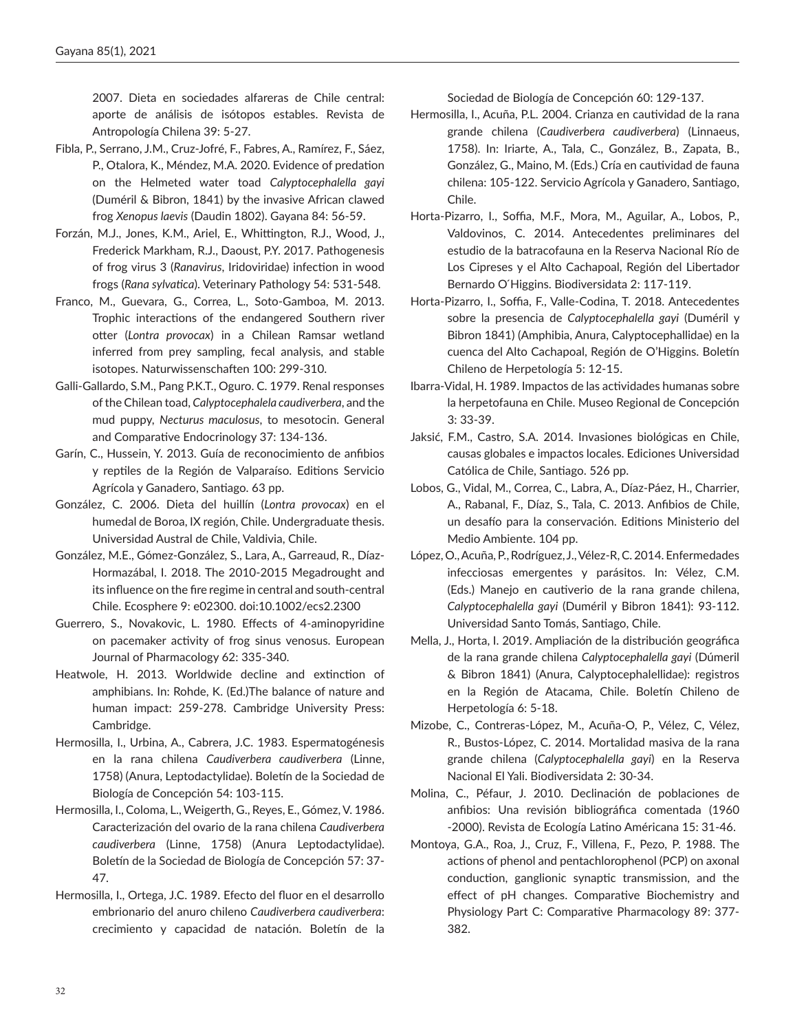2007. Dieta en sociedades alfareras de Chile central: aporte de análisis de isótopos estables. Revista de Antropología Chilena 39: 5-27.

- Fibla, P., Serrano, J.M., Cruz-Jofré, F., Fabres, A., Ramírez, F., Sáez, P., Otalora, K., Méndez, M.A. 2020. Evidence of predation on the Helmeted water toad *Calyptocephalella gayi* (Duméril & Bibron, 1841) by the invasive African clawed frog *Xenopus laevis* (Daudin 1802). Gayana 84: 56-59.
- Forzán, M.J., Jones, K.M., Ariel, E., Whittington, R.J., Wood, J., Frederick Markham, R.J., Daoust, P.Y. 2017. Pathogenesis of frog virus 3 (*Ranavirus*, Iridoviridae) infection in wood frogs (*Rana sylvatica*). Veterinary Pathology 54: 531-548.
- Franco, M., Guevara, G., Correa, L., Soto-Gamboa, M. 2013. Trophic interactions of the endangered Southern river otter (*Lontra provocax*) in a Chilean Ramsar wetland inferred from prey sampling, fecal analysis, and stable isotopes. Naturwissenschaften 100: 299-310.
- Galli-Gallardo, S.M., Pang P.K.T., Oguro. C. 1979. Renal responses of the Chilean toad, *Calyptocephalela caudiverbera*, and the mud puppy, *Necturus maculosus*, to mesotocin. General and Comparative Endocrinology 37: 134-136.
- Garín, C., Hussein, Y. 2013. Guía de reconocimiento de anfibios y reptiles de la Región de Valparaíso. Editions Servicio Agrícola y Ganadero, Santiago. 63 pp.
- González, C. 2006. Dieta del huillín (*Lontra provocax*) en el humedal de Boroa, IX región, Chile. Undergraduate thesis. Universidad Austral de Chile, Valdivia, Chile.
- González, M.E., Gómez‐González, S., Lara, A., Garreaud, R., Díaz‐ Hormazábal, I. 2018. The 2010-2015 Megadrought and its influence on the fire regime in central and south‐central Chile. Ecosphere 9: e02300. doi:10.1002/ecs2.2300
- Guerrero, S., Novakovic, L. 1980. Effects of 4-aminopyridine on pacemaker activity of frog sinus venosus. European Journal of Pharmacology 62: 335-340.
- Heatwole, H. 2013. Worldwide decline and extinction of amphibians. In: Rohde, K. (Ed.)The balance of nature and human impact: 259-278. Cambridge University Press: Cambridge.
- Hermosilla, I., Urbina, A., Cabrera, J.C. 1983. Espermatogénesis en la rana chilena *Caudiverbera caudiverbera* (Linne, 1758) (Anura, Leptodactylidae). Boletín de la Sociedad de Biología de Concepción 54: 103-115.
- Hermosilla, I., Coloma, L., Weigerth, G., Reyes, E., Gómez, V. 1986. Caracterización del ovario de la rana chilena *Caudiverbera caudiverbera* (Linne, 1758) (Anura Leptodactylidae). Boletín de la Sociedad de Biología de Concepción 57: 37- 47.
- Hermosilla, I., Ortega, J.C. 1989. Efecto del fluor en el desarrollo embrionario del anuro chileno *Caudiverbera caudiverbera*: crecimiento y capacidad de natación. Boletín de la

Sociedad de Biología de Concepción 60: 129-137.

- Hermosilla, I., Acuña, P.L. 2004. Crianza en cautividad de la rana grande chilena (*Caudiverbera caudiverbera*) (Linnaeus, 1758). In: Iriarte, A., Tala, C., González, B., Zapata, B., González, G., Maino, M. (Eds.) Cría en cautividad de fauna chilena: 105-122. Servicio Agrícola y Ganadero, Santiago, Chile.
- Horta-Pizarro, I., Soffia, M.F., Mora, M., Aguilar, A., Lobos, P., Valdovinos, C. 2014. Antecedentes preliminares del estudio de la batracofauna en la Reserva Nacional Río de Los Cipreses y el Alto Cachapoal, Región del Libertador Bernardo O'Higgins. Biodiversidata 2: 117-119.
- Horta-Pizarro, I., Soffia, F., Valle-Codina, T. 2018. Antecedentes sobre la presencia de *Calyptocephalella gayi* (Duméril y Bibron 1841) (Amphibia, Anura, Calyptocephallidae) en la cuenca del Alto Cachapoal, Región de O'Higgins. Boletín Chileno de Herpetología 5: 12-15.
- Ibarra-Vidal, H. 1989. Impactos de las actividades humanas sobre la herpetofauna en Chile. Museo Regional de Concepción 3: 33-39.
- Jaksić, F.M., Castro, S.A. 2014. Invasiones biológicas en Chile, causas globales e impactos locales. Ediciones Universidad Católica de Chile, Santiago. 526 pp.
- Lobos, G., Vidal, M., Correa, C., Labra, A., Díaz-Páez, H., Charrier, A., Rabanal, F., Díaz, S., Tala, C. 2013. Anfibios de Chile, un desafío para la conservación. Editions Ministerio del Medio Ambiente. 104 pp.
- López, O., Acuña, P., Rodríguez, J., Vélez-R, C. 2014. Enfermedades infecciosas emergentes y parásitos. In: Vélez, C.M. (Eds.) Manejo en cautiverio de la rana grande chilena, *Calyptocephalella gayi* (Duméril y Bibron 1841): 93-112. Universidad Santo Tomás, Santiago, Chile.
- Mella, J., Horta, I. 2019. Ampliación de la distribución geográfica de la rana grande chilena *Calyptocephalella gayi* (Dúmeril & Bibron 1841) (Anura, Calyptocephalellidae): registros en la Región de Atacama, Chile. Boletín Chileno de Herpetología 6: 5-18.
- Mizobe, C., Contreras-López, M., Acuña-O, P., Vélez, C, Vélez, R., Bustos-López, C. 2014. Mortalidad masiva de la rana grande chilena (*Calyptocephalella gayi*) en la Reserva Nacional El Yali. Biodiversidata 2: 30-34.
- Molina, C., Péfaur, J. 2010. Declinación de poblaciones de anfibios: Una revisión bibliográfica comentada (1960 -2000). Revista de Ecología Latino Américana 15: 31-46.
- Montoya, G.A., Roa, J., Cruz, F., Villena, F., Pezo, P. 1988. The actions of phenol and pentachlorophenol (PCP) on axonal conduction, ganglionic synaptic transmission, and the effect of pH changes. Comparative Biochemistry and Physiology Part C: Comparative Pharmacology 89: 377- 382.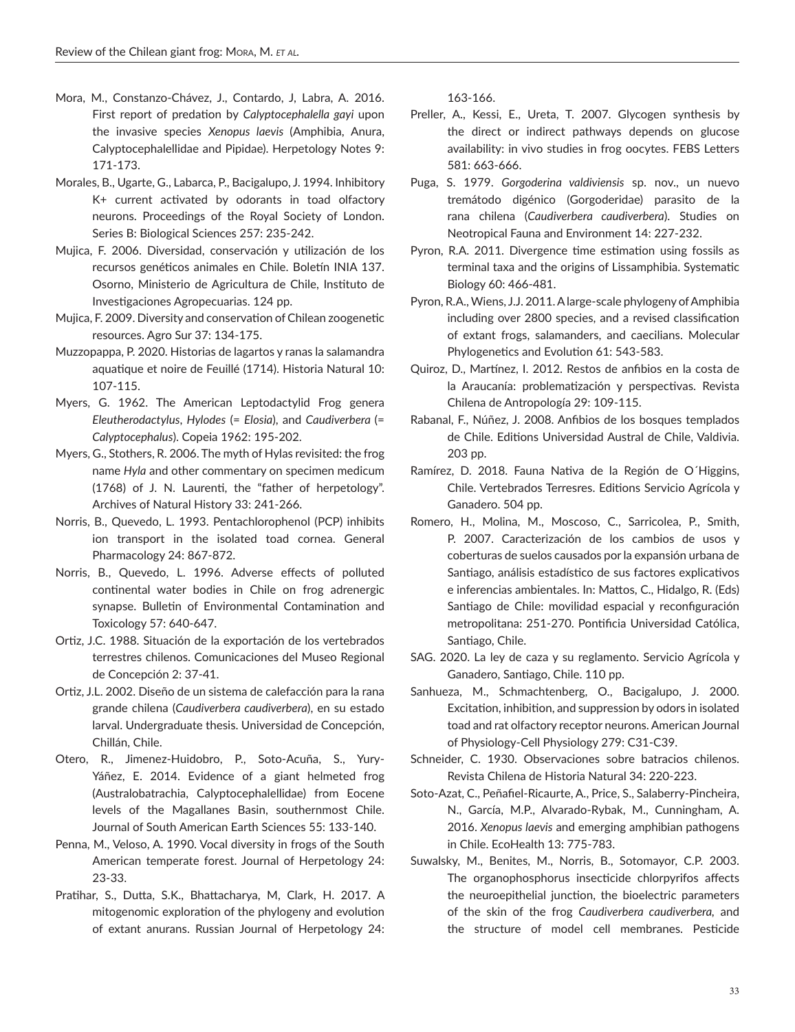- Mora, M., Constanzo-Chávez, J., Contardo, J, Labra, A. 2016. First report of predation by *Calyptocephalella gayi* upon the invasive species *Xenopus laevis* (Amphibia, Anura, Calyptocephalellidae and Pipidae). Herpetology Notes 9: 171-173.
- Morales, B., Ugarte, G., Labarca, P., Bacigalupo, J. 1994. Inhibitory K+ current activated by odorants in toad olfactory neurons. Proceedings of the Royal Society of London. Series B: Biological Sciences 257: 235-242.
- Mujica, F. 2006. Diversidad, conservación y utilización de los recursos genéticos animales en Chile. Boletín INIA 137. Osorno, Ministerio de Agricultura de Chile, Instituto de Investigaciones Agropecuarias. 124 pp.
- Mujica, F. 2009. Diversity and conservation of Chilean zoogenetic resources. Agro Sur 37: 134-175.
- Muzzopappa, P. 2020. Historias de lagartos y ranas la salamandra aquatique et noire de Feuillé (1714). Historia Natural 10: 107-115.
- Myers, G. 1962. The American Leptodactylid Frog genera *Eleutherodactylus*, *Hylodes* (= *Elosia*), and *Caudiverbera* (= *Calyptocephalus*). Copeia 1962: 195-202.
- Myers, G., Stothers, R. 2006. The myth of Hylas revisited: the frog name *Hyla* and other commentary on specimen medicum (1768) of J. N. Laurenti, the "father of herpetology". Archives of Natural History 33: 241-266.
- Norris, B., Quevedo, L. 1993. Pentachlorophenol (PCP) inhibits ion transport in the isolated toad cornea. General Pharmacology 24: 867-872.
- Norris, B., Quevedo, L. 1996. Adverse effects of polluted continental water bodies in Chile on frog adrenergic synapse. Bulletin of Environmental Contamination and Toxicology 57: 640-647.
- Ortiz, J.C. 1988. Situación de la exportación de los vertebrados terrestres chilenos. Comunicaciones del Museo Regional de Concepción 2: 37-41.
- Ortiz, J.L. 2002. Diseño de un sistema de calefacción para la rana grande chilena (*Caudiverbera caudiverbera*), en su estado larval. Undergraduate thesis. Universidad de Concepción, Chillán, Chile.
- Otero, R., Jimenez-Huidobro, P., Soto-Acuña, S., Yury-Yáñez, E. 2014. Evidence of a giant helmeted frog (Australobatrachia, Calyptocephalellidae) from Eocene levels of the Magallanes Basin, southernmost Chile. Journal of South American Earth Sciences 55: 133-140.
- Penna, M., Veloso, A. 1990. Vocal diversity in frogs of the South American temperate forest. Journal of Herpetology 24: 23-33.
- Pratihar, S., Dutta, S.K., Bhattacharya, M, Clark, H. 2017. A mitogenomic exploration of the phylogeny and evolution of extant anurans. Russian Journal of Herpetology 24:

163-166.

- Preller, A., Kessi, E., Ureta, T. 2007. Glycogen synthesis by the direct or indirect pathways depends on glucose availability: in vivo studies in frog oocytes. FEBS Letters 581: 663-666.
- Puga, S. 1979. *Gorgoderina valdiviensis* sp. nov., un nuevo tremátodo digénico (Gorgoderidae) parasito de la rana chilena (*Caudiverbera caudiverbera*). Studies on Neotropical Fauna and Environment 14: 227-232.
- Pyron, R.A. 2011. Divergence time estimation using fossils as terminal taxa and the origins of Lissamphibia. Systematic Biology 60: 466-481.
- Pyron, R.A., Wiens, J.J. 2011. A large-scale phylogeny of Amphibia including over 2800 species, and a revised classification of extant frogs, salamanders, and caecilians. Molecular Phylogenetics and Evolution 61: 543-583.
- Quiroz, D., Martínez, I. 2012. Restos de anfibios en la costa de la Araucanía: problematización y perspectivas. Revista Chilena de Antropología 29: 109-115.
- Rabanal, F., Núñez, J. 2008. Anfibios de los bosques templados de Chile. Editions Universidad Austral de Chile, Valdivia. 203 pp.
- Ramírez, D. 2018. Fauna Nativa de la Región de O´Higgins, Chile. Vertebrados Terresres. Editions Servicio Agrícola y Ganadero. 504 pp.
- Romero, H., Molina, M., Moscoso, C., Sarricolea, P., Smith, P. 2007. Caracterización de los cambios de usos y coberturas de suelos causados por la expansión urbana de Santiago, análisis estadístico de sus factores explicativos e inferencias ambientales. In: Mattos, C., Hidalgo, R. (Eds) Santiago de Chile: movilidad espacial y reconfiguración metropolitana: 251-270. Pontificia Universidad Católica, Santiago, Chile.
- SAG. 2020. La ley de caza y su reglamento. Servicio Agrícola y Ganadero, Santiago, Chile. 110 pp.
- Sanhueza, M., Schmachtenberg, O., Bacigalupo, J. 2000. Excitation, inhibition, and suppression by odors in isolated toad and rat olfactory receptor neurons. American Journal of Physiology-Cell Physiology 279: C31-C39.
- Schneider, C. 1930. Observaciones sobre batracios chilenos. Revista Chilena de Historia Natural 34: 220-223.
- Soto-Azat, C., Peñafiel-Ricaurte, A., Price, S., Salaberry-Pincheira, N., García, M.P., Alvarado-Rybak, M., Cunningham, A. 2016. *Xenopus laevis* and emerging amphibian pathogens in Chile. EcoHealth 13: 775-783.
- Suwalsky, M., Benites, M., Norris, B., Sotomayor, C.P. 2003. The organophosphorus insecticide chlorpyrifos affects the neuroepithelial junction, the bioelectric parameters of the skin of the frog *Caudiverbera caudiverbera,* and the structure of model cell membranes. Pesticide